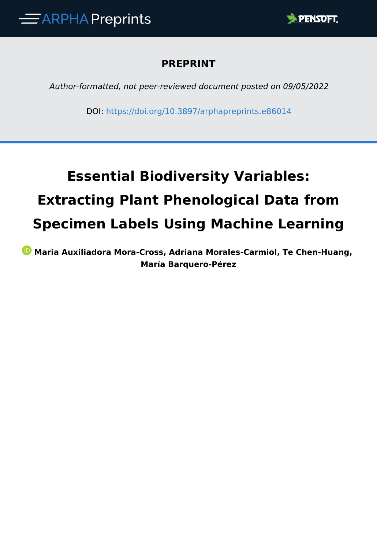

# **PREPRINT**

*Author-formatted, not peer-reviewed document posted on 09/05/2022*

DOI:<https://doi.org/10.3897/arphapreprints.e86014>

# **Essential Biodiversity Variables: Extracting Plant Phenological Data from Specimen Labels Using Machine Learning**

*D* **Maria Auxiliadora Mora-Cross, Adriana Morales-Carmiol, Te Chen-Huang, María Barquero-Pérez**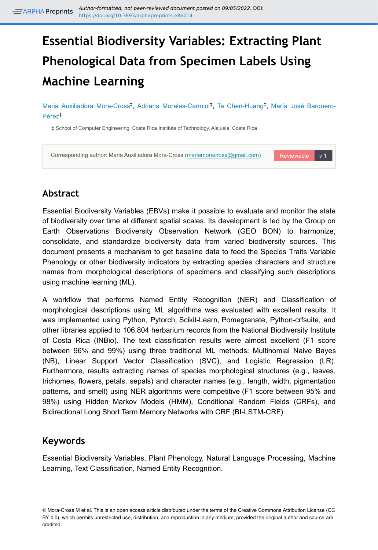# **Essential Biodiversity Variables: Extracting Plant Phenological Data from Specimen Labels Using Machine Learning**

Maria Auxiliadora Mora-Cross<sup>‡</sup>, Adriana Morales-Carmiol<sup>‡</sup>, Te Chen-Huang<sup>‡</sup>, María José Barquero-Pérez ‡

‡ School of Computer Engineering, Costa Rica Institute of Technology, Alajuela, Costa Rica



# **Abstract**

Essential Biodiversity Variables (EBVs) make it possible to evaluate and monitor the state of biodiversity over time at different spatial scales. Its development is led by the Group on Earth Observations Biodiversity Observation Network (GEO BON) to harmonize, consolidate, and standardize biodiversity data from varied biodiversity sources. This document presents a mechanism to get baseline data to feed the Species Traits Variable Phenology or other biodiversity indicators by extracting species characters and structure names from morphological descriptions of specimens and classifying such descriptions using machine learning (ML).

A workflow that performs Named Entity Recognition (NER) and Classification of morphological descriptions using ML algorithms was evaluated with excellent results. It was implemented using Python, Pytorch, Scikit-Learn, Pomegranate, Python-crfsuite, and other libraries applied to 106,804 herbarium records from the National Biodiversity Institute of Costa Rica (INBio). The text classification results were almost excellent (F1 score between 96% and 99%) using three traditional ML methods: Multinomial Naive Bayes (NB), Linear Support Vector Classification (SVC), and Logistic Regression (LR). Furthermore, results extracting names of species morphological structures (e.g., leaves, trichomes, flowers, petals, sepals) and character names (e.g., length, width, pigmentation patterns, and smell) using NER algorithms were competitive (F1 score between 95% and 98%) using Hidden Markov Models (HMM), Conditional Random Fields (CRFs), and Bidirectional Long Short Term Memory Networks with CRF (BI-LSTM-CRF).

# **Keywords**

Essential Biodiversity Variables, Plant Phenology, Natural Language Processing, Machine Learning, Text Classification, Named Entity Recognition.

<sup>©</sup> Mora-Cross M et al. This is an open access article distributed under the terms of the Creative Commons Attribution License (CC BY 4.0), which permits unrestricted use, distribution, and reproduction in any medium, provided the original author and source are credited.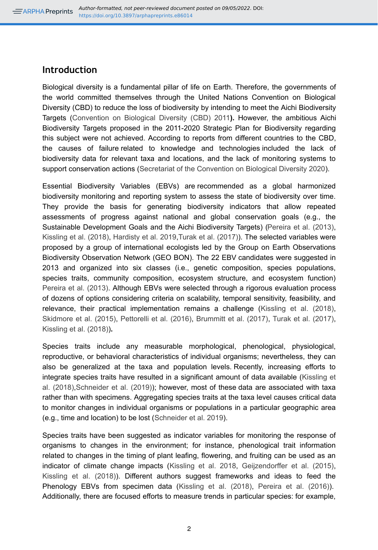# **Introduction**

Biological diversity is a fundamental pillar of life on Earth. Therefore, the governments of the world committed themselves through the United Nations Convention on Biological Diversity (CBD) to reduce the loss of biodiversity by intending to meet the Aichi Biodiversity Targets [\(Convention on Biological Diversity \(CBD\) 2011](#page-12-0)**).** However, the ambitious Aichi Biodiversity Targets proposed in the 2011-2020 Strategic Plan for Biodiversity regarding this subject were not achieved. According to reports from different countries to the CBD, the causes of failure related to knowledge and technologies included the lack of biodiversity data for relevant taxa and locations, and the lack of monitoring systems to support conservation actions ([Secretariat of the Convention on Biological Diversity 2020](#page-15-0)).

Essential Biodiversity Variables (EBVs) are recommended as a global harmonized biodiversity monitoring and reporting system to assess the state of biodiversity over time. They provide the basis for generating biodiversity indicators that allow repeated assessments of progress against national and global conservation goals (e.g., the Sustainable Development Goals and the Aichi Biodiversity Targets) [\(Pereira et al. \(2013\),](#page-14-0) [Kissling et al. \(2018\),](#page-13-0) [Hardisty et al. 2019](#page-13-1),[Turak et al. \(2017\)](#page-15-1)). The selected variables were proposed by a group of international ecologists led by the Group on Earth Observations Biodiversity Observation Network (GEO BON). The 22 EBV candidates were suggested in 2013 and organized into six classes (i.e., genetic composition, species populations, species traits, community composition, ecosystem structure, and ecosystem function) [Pereira et al. \(2013\).](#page-14-0) Although EBVs were selected through a rigorous evaluation process of dozens of options considering criteria on scalability, temporal sensitivity, feasibility, and relevance, their practical implementation remains a challenge [\(Kissling et al. \(2018\),](#page-13-0) [Skidmore et al. \(2015\)](#page-15-2), [Pettorelli et al. \(2016\),](#page-14-1) [Brummitt et al. \(2017\),](#page-12-1) [Turak et al. \(2017\),](#page-15-1) [Kissling et al. \(2018\)\)](#page-13-0)**.** 

Species traits include any measurable morphological, phenological, physiological, reproductive, or behavioral characteristics of individual organisms; nevertheless, they can also be generalized at the taxa and population levels. Recently, increasing efforts to integrate species traits have resulted in a significant amount of data available ([Kissling et](#page-13-0) [al. \(2018\)](#page-13-0),[Schneider et al. \(2019\)\)](#page-15-3); however, most of these data are associated with taxa rather than with specimens. Aggregating species traits at the taxa level causes critical data to monitor changes in individual organisms or populations in a particular geographic area (e.g., time and location) to be lost ([Schneider et al. 2019](#page-15-3)).

Species traits have been suggested as indicator variables for monitoring the response of organisms to changes in the environment; for instance, phenological trait information related to changes in the timing of plant leafing, flowering, and fruiting can be used as an indicator of climate change impacts ([Kissling et al. 2018,](#page-13-0) [Geijzendorffer et al. \(2015\),](#page-12-2) [Kissling et al. \(2018\)](#page-13-0)). Different authors suggest frameworks and ideas to feed the Phenology EBVs from specimen data [\(Kissling et al. \(2018\)](#page-13-0), [Pereira et al. \(2016\)](#page-14-2)). Additionally, there are focused efforts to measure trends in particular species: for example,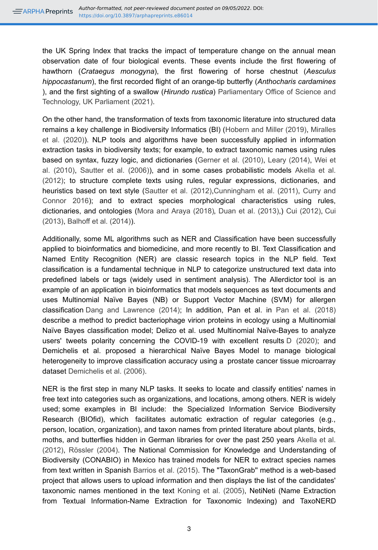the UK Spring Index that tracks the impact of temperature change on the annual mean observation date of four biological events. These events include the first flowering of hawthorn (*Crataegus monogyna*), the first flowering of horse chestnut (*Aesculus hippocastanum*), the first recorded flight of an orange-tip butterfly (*Anthocharis cardamines* ), and the first sighting of a swallow (*Hirundo rustica*) [Parliamentary Office of Science and](#page-14-3) [Technology, UK Parliament \(2021\).](#page-14-3)

On the other hand, the transformation of texts from taxonomic literature into structured data remains a key challenge in Biodiversity Informatics (BI) ([Hobern and Miller \(2019\)](#page-13-2), [Miralles](#page-14-4) [et al. \(2020\)](#page-14-4)). NLP tools and algorithms have been successfully applied in information extraction tasks in biodiversity texts; for example, to extract taxonomic names using rules based on syntax, fuzzy logic, and dictionaries [\(Gerner et al. \(2010\),](#page-13-3) [Leary \(2014\)](#page-13-4), [Wei et](#page-15-4) [al. \(2010\)](#page-15-4), [Sautter et al. \(2006\)\)](#page-15-5), and in some cases probabilistic models [Akella et al.](#page-11-0) [\(2012\)](#page-11-0); to structure complete texts using rules, regular expressions, dictionaries, and heuristics based on text style ([Sautter et al. \(2012\)](#page-15-6)[,Cunningham et al. \(2011\),](#page-12-3) [Curry and](#page-12-4) [Connor 2016\)](#page-12-4); and to extract species morphological characteristics using rules, dictionaries, and ontologies ([Mora and Araya \(2018\)](#page-14-5), [Duan et al. \(2013\),](#page-12-5)) [Cui \(2012\),](#page-12-6) [Cui](#page-12-7) [\(2013\)](#page-12-7), [Balhoff et al. \(2014\)\)](#page-11-1).

Additionally, some ML algorithms such as NER and Classification have been successfully applied to bioinformatics and biomedicine, and more recently to BI. Text Classification and Named Entity Recognition (NER) are classic research topics in the NLP field. Text classification is a fundamental technique in NLP to categorize unstructured text data into predefined labels or tags (widely used in sentiment analysis). The Allerdictor tool is an example of an application in bioinformatics that models sequences as text documents and uses Multinomial Naïve Bayes (NB) or Support Vector Machine (SVM) for allergen classification [Dang and Lawrence \(2014\)](#page-12-8); In addition, Pan et al. in [Pan et al. \(2018\)](#page-14-6) describe a method to predict bacteriophage virion proteins in ecology using a Multinomial Naïve Bayes classification model; Delizo et al. used Multinomial Naïve-Bayes to analyze users' tweets polarity concerning the COVID-19 with excellent results [D \(2020\)](#page-12-9); and Demichelis et al. proposed a hierarchical Naïve Bayes Model to manage biological heterogeneity to improve classification accuracy using a prostate cancer tissue microarray dataset [Demichelis et al. \(2006\)](#page-12-10).

NER is the first step in many NLP tasks. It seeks to locate and classify entities' names in free text into categories such as organizations, and locations, among others. NER is widely used; some examples in BI include: the Specialized Information Service Biodiversity Research (BIOfid), which facilitates automatic extraction of regular categories (e.g., person, location, organization), and taxon names from printed literature about plants, birds, moths, and butterflies hidden in German libraries for over the past 250 years [Akella et al.](#page-11-0) [\(2012\)](#page-11-0), [Rössler \(2004\).](#page-15-7) The National Commission for Knowledge and Understanding of Biodiversity (CONABIO) in Mexico has trained models for NER to extract species names from text written in Spanish [Barrios et al. \(2015\).](#page-11-2) The "TaxonGrab'' method is a web-based project that allows users to upload information and then displays the list of the candidates' taxonomic names mentioned in the text [Koning et al. \(2005\)](#page-13-5), NetiNeti (Name Extraction from Textual Information-Name Extraction for Taxonomic Indexing) and TaxoNERD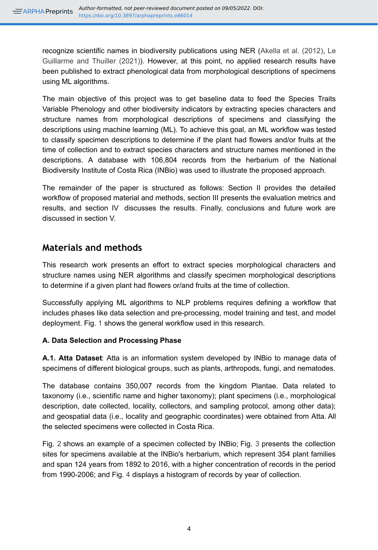recognize scientific names in biodiversity publications using NER [\(Akella et al. \(2012\),](#page-11-0) [Le](#page-13-6) [Guillarme and Thuiller \(2021\)](#page-13-6)). However, at this point, no applied research results have been published to extract phenological data from morphological descriptions of specimens using ML algorithms.

The main objective of this project was to get baseline data to feed the Species Traits Variable Phenology and other biodiversity indicators by extracting species characters and structure names from morphological descriptions of specimens and classifying the descriptions using machine learning (ML). To achieve this goal, an ML workflow was tested to classify specimen descriptions to determine if the plant had flowers and/or fruits at the time of collection and to extract species characters and structure names mentioned in the descriptions. A database with 106,804 records from the herbarium of the National Biodiversity Institute of Costa Rica (INBio) was used to illustrate the proposed approach.

The remainder of the paper is structured as follows: Section II provides the detailed workflow of proposed material and methods, section III presents the evaluation metrics and results, and section IV discusses the results. Finally, conclusions and future work are discussed in section V.

# **Materials and methods**

This research work presents an effort to extract species morphological characters and structure names using NER algorithms and classify specimen morphological descriptions to determine if a given plant had flowers or/and fruits at the time of collection.

Successfully applying ML algorithms to NLP problems requires defining a workflow that includes phases like data selection and pre-processing, model training and test, and model deployment. Fig. [1](#page-16-0) shows the general workflow used in this research.

# **A. Data Selection and Processing Phase**

**A.1. Atta Dataset**: Atta is an information system developed by INBio to manage data of specimens of different biological groups, such as plants, arthropods, fungi, and nematodes.

The database contains 350,007 records from the kingdom Plantae. Data related to taxonomy (i.e., scientific name and higher taxonomy); plant specimens (i.e., morphological description, date collected, locality, collectors, and sampling protocol, among other data); and geospatial data (i.e., locality and geographic coordinates) were obtained from Atta. All the selected specimens were collected in Costa Rica.

Fig. [2](#page-17-0) shows an example of a specimen collected by INBio; Fig. [3](#page-18-0) presents the collection sites for specimens available at the INBio's herbarium, which represent 354 plant families and span 124 years from 1892 to 2016, with a higher concentration of records in the period from 1990-2006; and Fig. [4](#page-19-0) displays a histogram of records by year of collection.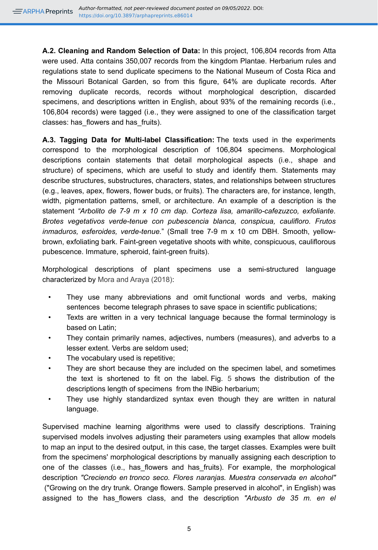**A.2. Cleaning and Random Selection of Data:** In this project, 106,804 records from Atta were used. Atta contains 350,007 records from the kingdom Plantae. Herbarium rules and regulations state to send duplicate specimens to the National Museum of Costa Rica and the Missouri Botanical Garden, so from this figure, 64% are duplicate records. After removing duplicate records, records without morphological description, discarded specimens, and descriptions written in English, about 93% of the remaining records (i.e., 106,804 records) were tagged (i.e., they were assigned to one of the classification target classes: has flowers and has fruits).

**A.3. Tagging Data for Multi-label Classification:** The texts used in the experiments correspond to the morphological description of 106,804 specimens. Morphological descriptions contain statements that detail morphological aspects (i.e., shape and structure) of specimens, which are useful to study and identify them. Statements may describe structures, substructures, characters, states, and relationships between structures (e.g., leaves, apex, flowers, flower buds, or fruits). The characters are, for instance, length, width, pigmentation patterns, smell, or architecture. An example of a description is the statement *"Arbolito de 7-9 m x 10 cm dap. Corteza lisa, amarillo-cafezuzco, exfoliante. Brotes vegetativos verde-tenue con pubescencia blanca, conspicua, caulifloro. Frutos inmaduros, esferoides, verde-tenue.*" (Small tree 7-9 m x 10 cm DBH. Smooth, yellowbrown, exfoliating bark. Faint-green vegetative shoots with white, conspicuous, cauliflorous pubescence. Immature, spheroid, faint-green fruits).

Morphological descriptions of plant specimens use a semi-structured language characterized by [Mora and Araya \(2018\)](#page-14-5):

- They use many abbreviations and omit functional words and verbs, making sentences become telegraph phrases to save space in scientific publications;
- Texts are written in a very technical language because the formal terminology is based on Latin;
- They contain primarily names, adjectives, numbers (measures), and adverbs to a lesser extent. Verbs are seldom used;
- The vocabulary used is repetitive;
- They are short because they are included on the specimen label, and sometimes the text is shortened to fit on the label. Fig. [5](#page-20-0) shows the distribution of the descriptions length of specimens from the INBio herbarium;
- They use highly standardized syntax even though they are written in natural language.

Supervised machine learning algorithms were used to classify descriptions. Training supervised models involves adjusting their parameters using examples that allow models to map an input to the desired output, in this case, the target classes. Examples were built from the specimens' morphological descriptions by manually assigning each description to one of the classes (i.e., has\_flowers and has\_fruits). For example, the morphological description *"Creciendo en tronco seco. Flores naranjas. Muestra conservada en alcohol"* ("Growing on the dry trunk. Orange flowers. Sample preserved in alcohol", in English) was assigned to the has\_flowers class, and the description *"Arbusto de 35 m. en el*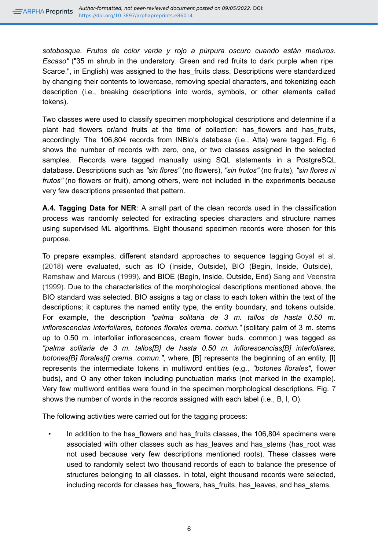*sotobosque. Frutos de color verde y rojo a púrpura oscuro cuando están maduros. Escaso"* ("35 m shrub in the understory. Green and red fruits to dark purple when ripe. Scarce.", in English) was assigned to the has fruits class. Descriptions were standardized by changing their contents to lowercase, removing special characters, and tokenizing each description (i.e., breaking descriptions into words, symbols, or other elements called tokens).

Two classes were used to classify specimen morphological descriptions and determine if a plant had flowers or/and fruits at the time of collection: has flowers and has fruits, accordingly. The 106,804 records from INBio's database (i.e., Atta) were tagged. Fig. [6](#page-21-0) shows the number of records with zero, one, or two classes assigned in the selected samples. Records were tagged manually using SQL statements in a PostgreSQL database. Descriptions such as *"sin flores"* (no flowers), *"sin frutos"* (no fruits), *"sin flores ni frutos"* (no flowers or fruit), among others, were not included in the experiments because very few descriptions presented that pattern.

**A.4. Tagging Data for NER**: A small part of the clean records used in the classification process was randomly selected for extracting species characters and structure names using supervised ML algorithms. Eight thousand specimen records were chosen for this purpose.

To prepare examples, different standard approaches to sequence tagging [Goyal et al.](#page-13-7) [\(2018\)](#page-13-7) were evaluated, such as IO (Inside, Outside), BIO (Begin, Inside, Outside), [Ramshaw and Marcus \(1999\),](#page-15-8) and BIOE (Begin, Inside, Outside, End) [Sang and Veenstra](#page-15-9) [\(1999\)](#page-15-9). Due to the characteristics of the morphological descriptions mentioned above, the BIO standard was selected. BIO assigns a tag or class to each token within the text of the descriptions; it captures the named entity type, the entity boundary, and tokens outside. For example, the description *"palma solitaria de 3 m. tallos de hasta 0.50 m. inflorescencias interfoliares, botones florales crema. comun."* (solitary palm of 3 m. stems up to 0.50 m. interfoliar inflorescences, cream flower buds. common.) was tagged as *"palma solitaria de 3 m. tallos[B] de hasta 0.50 m. inflorescencias[B] interfoliares, botones[B] florales[I] crema. comun."*, where, [B] represents the beginning of an entity, [I] represents the intermediate tokens in multiword entities (e.g., *"botones florales"*, flower buds), and O any other token including punctuation marks (not marked in the example). Very few multiword entities were found in the specimen morphological descriptions. Fig. [7](#page-22-0) shows the number of words in the records assigned with each label (i.e., B, I, O).

The following activities were carried out for the tagging process:

In addition to the has flowers and has fruits classes, the 106,804 specimens were associated with other classes such as has leaves and has stems (has root was not used because very few descriptions mentioned roots). These classes were used to randomly select two thousand records of each to balance the presence of structures belonging to all classes. In total, eight thousand records were selected, including records for classes has flowers, has fruits, has leaves, and has stems.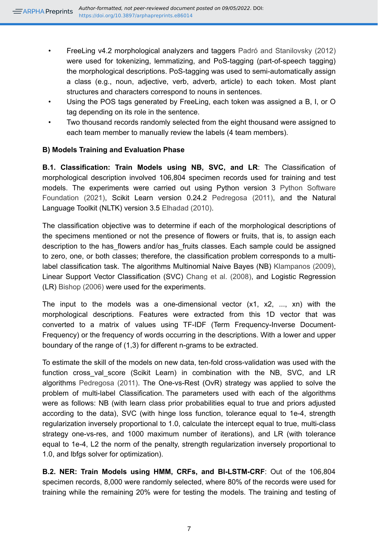- FreeLing v4.2 morphological analyzers and taggers [Padró and Stanilovsky \(2012\)](#page-14-7) were used for tokenizing, lemmatizing, and PoS-tagging (part-of-speech tagging) the morphological descriptions. PoS-tagging was used to semi-automatically assign a class (e.g., noun, adjective, verb, adverb, article) to each token. Most plant structures and characters correspond to nouns in sentences.
- Using the POS tags generated by FreeLing, each token was assigned a B, I, or O tag depending on its role in the sentence.
- Two thousand records randomly selected from the eight thousand were assigned to each team member to manually review the labels (4 team members).

## **B) Models Training and Evaluation Phase**

**B.1. Classification: Train Models using NB, SVC, and LR**: The Classification of morphological description involved 106,804 specimen records used for training and test models. The experiments were carried out using Python version 3 [Python Software](#page-15-10) [Foundation \(2021\),](#page-15-10) Scikit Learn version 0.24.2 [Pedregosa \(2011\)](#page-14-8), and the Natural Language Toolkit (NLTK) version 3.5 [Elhadad \(2010\).](#page-12-11)

The classification objective was to determine if each of the morphological descriptions of the specimens mentioned or not the presence of flowers or fruits, that is, to assign each description to the has flowers and/or has fruits classes. Each sample could be assigned to zero, one, or both classes; therefore, the classification problem corresponds to a multilabel classification task. The algorithms Multinomial Naive Bayes (NB) [Klampanos \(2009\),](#page-13-8) Linear Support Vector Classification (SVC) [Chang et al. \(2008\),](#page-12-12) and Logistic Regression (LR) [Bishop \(2006\)](#page-12-13) were used for the experiments.

The input to the models was a one-dimensional vector  $(x1, x2, \ldots, xn)$  with the morphological descriptions. Features were extracted from this 1D vector that was converted to a matrix of values using TF-IDF (Term Frequency-Inverse Document-Frequency) or the frequency of words occurring in the descriptions. With a lower and upper boundary of the range of (1,3) for different n-grams to be extracted.

To estimate the skill of the models on new data, ten-fold cross-validation was used with the function cross val score (Scikit Learn) in combination with the NB, SVC, and LR algorithms [Pedregosa \(2011\)](#page-14-8). The One-vs-Rest (OvR) strategy was applied to solve the problem of multi-label Classification. The parameters used with each of the algorithms were as follows: NB (with learn class prior probabilities equal to true and priors adjusted according to the data), SVC (with hinge loss function, tolerance equal to 1e-4, strength regularization inversely proportional to 1.0, calculate the intercept equal to true, multi-class strategy one-vs-res, and 1000 maximum number of iterations), and LR (with tolerance equal to 1e-4, L2 the norm of the penalty, strength regularization inversely proportional to 1.0, and lbfgs solver for optimization).

**B.2. NER: Train Models using HMM, CRFs, and BI-LSTM-CRF**: Out of the 106,804 specimen records, 8,000 were randomly selected, where 80% of the records were used for training while the remaining 20% were for testing the models. The training and testing of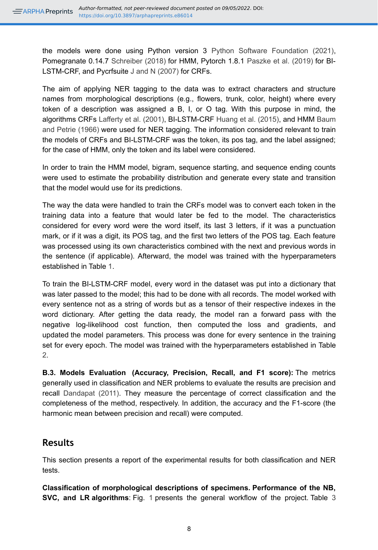the models were done using Python version 3 [Python Software Foundation \(2021\),](#page-15-10) Pomegranate 0.14.7 [Schreiber \(2018\)](#page-15-11) for HMM, Pytorch 1.8.1 [Paszke et al. \(2019\)](#page-14-9) for BI-LSTM-CRF, and Pycrfsuite [J and N \(2007\)](#page-13-9) for CRFs.

The aim of applying NER tagging to the data was to extract characters and structure names from morphological descriptions (e.g., flowers, trunk, color, height) where every token of a description was assigned a B, I, or O tag. With this purpose in mind, the algorithms CRFs [Lafferty et al. \(2001\),](#page-13-10) BI-LSTM-CRF [Huang et al. \(2015\),](#page-13-11) and HMM [Baum](#page-12-14) [and Petrie \(1966\)](#page-12-14) were used for NER tagging. The information considered relevant to train the models of CRFs and BI-LSTM-CRF was the token, its pos tag, and the label assigned; for the case of HMM, only the token and its label were considered.

In order to train the HMM model, bigram, sequence starting, and sequence ending counts were used to estimate the probability distribution and generate every state and transition that the model would use for its predictions.

The way the data were handled to train the CRFs model was to convert each token in the training data into a feature that would later be fed to the model. The characteristics considered for every word were the word itself, its last 3 letters, if it was a punctuation mark, or if it was a digit, its POS tag, and the first two letters of the POS tag. Each feature was processed using its own characteristics combined with the next and previous words in the sentence (if applicable). Afterward, the model was trained with the hyperparameters established in Table [1.](#page-23-0)

To train the BI-LSTM-CRF model, every word in the dataset was put into a dictionary that was later passed to the model; this had to be done with all records. The model worked with every sentence not as a string of words but as a tensor of their respective indexes in the word dictionary. After getting the data ready, the model ran a forward pass with the negative log-likelihood cost function, then computed the loss and gradients, and updated the model parameters. This process was done for every sentence in the training set for every epoch. The model was trained with the hyperparameters established in Table [2](#page-24-0).

**B.3. Models Evaluation (Accuracy, Precision, Recall, and F1 score):** The metrics generally used in classification and NER problems to evaluate the results are precision and recall [Dandapat \(2011\)](#page-12-15). They measure the percentage of correct classification and the completeness of the method, respectively. In addition, the accuracy and the F1-score (the harmonic mean between precision and recall) were computed.

# **Results**

This section presents a report of the experimental results for both classification and NER tests.

**Classification of morphological descriptions of specimens. Performance of the NB, SVC, and LR algorithms**: Fig. [1](#page-16-0) presents the general workflow of the project. Table [3](#page-25-0)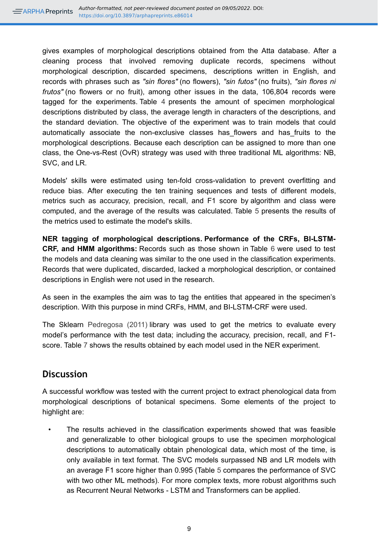gives examples of morphological descriptions obtained from the Atta database. After a cleaning process that involved removing duplicate records, specimens without morphological description, discarded specimens, descriptions written in English, and records with phrases such as *"sin flores"* (no flowers), *"sin futos"* (no fruits), *"sin flores ni frutos"* (no flowers or no fruit), among other issues in the data, 106,804 records were tagged for the experiments. Table [4](#page-26-0) presents the amount of specimen morphological descriptions distributed by class, the average length in characters of the descriptions, and the standard deviation. The objective of the experiment was to train models that could automatically associate the non-exclusive classes has flowers and has fruits to the morphological descriptions. Because each description can be assigned to more than one class, the One-vs-Rest (OvR) strategy was used with three traditional ML algorithms: NB, SVC, and LR.

Models' skills were estimated using ten-fold cross-validation to prevent overfitting and reduce bias. After executing the ten training sequences and tests of different models, metrics such as accuracy, precision, recall, and F1 score by algorithm and class were computed, and the average of the results was calculated. Table [5](#page-27-0) presents the results of the metrics used to estimate the model's skills.

**NER tagging of morphological descriptions. Performance of the CRFs, BI-LSTM-CRF, and HMM algorithms:** Records such as those shown in Table [6](#page-28-0) were used to test the models and data cleaning was similar to the one used in the classification experiments. Records that were duplicated, discarded, lacked a morphological description, or contained descriptions in English were not used in the research.

As seen in the examples the aim was to tag the entities that appeared in the specimen's description. With this purpose in mind CRFs, HMM, and BI-LSTM-CRF were used.

The Sklearn [Pedregosa \(2011\)](#page-14-8) library was used to get the metrics to evaluate every model's performance with the test data; including the accuracy, precision, recall, and F1 score. Table [7](#page-29-0) shows the results obtained by each model used in the NER experiment.

# **Discussion**

A successful workflow was tested with the current project to extract phenological data from morphological descriptions of botanical specimens. Some elements of the project to highlight are:

The results achieved in the classification experiments showed that was feasible and generalizable to other biological groups to use the specimen morphological descriptions to automatically obtain phenological data, which most of the time, is only available in text format. The SVC models surpassed NB and LR models with an average F1 score higher than 0.995 (Table [5](#page-27-0) compares the performance of SVC with two other ML methods). For more complex texts, more robust algorithms such as Recurrent Neural Networks - LSTM and Transformers can be applied.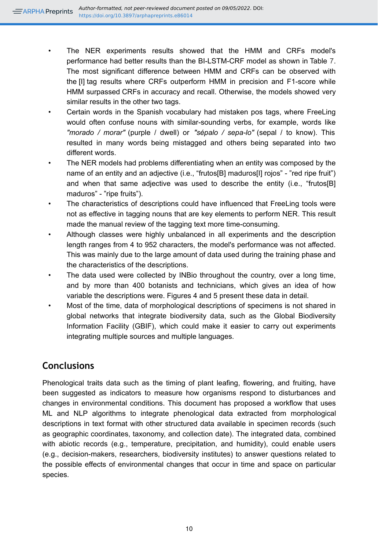- The NER experiments results showed that the HMM and CRFs model's performance had better results than the BI-LSTM-CRF model as shown in Table [7.](#page-29-0) The most significant difference between HMM and CRFs can be observed with the [I] tag results where CRFs outperform HMM in precision and F1-score while HMM surpassed CRFs in accuracy and recall. Otherwise, the models showed very similar results in the other two tags.
- Certain words in the Spanish vocabulary had mistaken pos tags, where FreeLing would often confuse nouns with similar-sounding verbs, for example, words like *"morado / morar"* (purple / dwell) or *"sépalo / sepa-lo"* (sepal / to know). This resulted in many words being mistagged and others being separated into two different words.
- The NER models had problems differentiating when an entity was composed by the name of an entity and an adjective (i.e., "frutos[B] maduros[I] rojos" - "red ripe fruit") and when that same adjective was used to describe the entity (i.e., "frutos[B] maduros" - "ripe fruits").
- The characteristics of descriptions could have influenced that FreeLing tools were not as effective in tagging nouns that are key elements to perform NER. This result made the manual review of the tagging text more time-consuming.
- Although classes were highly unbalanced in all experiments and the description length ranges from 4 to 952 characters, the model's performance was not affected. This was mainly due to the large amount of data used during the training phase and the characteristics of the descriptions.
- The data used were collected by INBio throughout the country, over a long time, and by more than 400 botanists and technicians, which gives an idea of how variable the descriptions were. Figures 4 and 5 present these data in detail.
- Most of the time, data of morphological descriptions of specimens is not shared in global networks that integrate biodiversity data, such as the Global Biodiversity Information Facility (GBIF), which could make it easier to carry out experiments integrating multiple sources and multiple languages.

# **Conclusions**

Phenological traits data such as the timing of plant leafing, flowering, and fruiting, have been suggested as indicators to measure how organisms respond to disturbances and changes in environmental conditions. This document has proposed a workflow that uses ML and NLP algorithms to integrate phenological data extracted from morphological descriptions in text format with other structured data available in specimen records (such as geographic coordinates, taxonomy, and collection date). The integrated data, combined with abiotic records (e.g., temperature, precipitation, and humidity), could enable users (e.g., decision-makers, researchers, biodiversity institutes) to answer questions related to the possible effects of environmental changes that occur in time and space on particular species.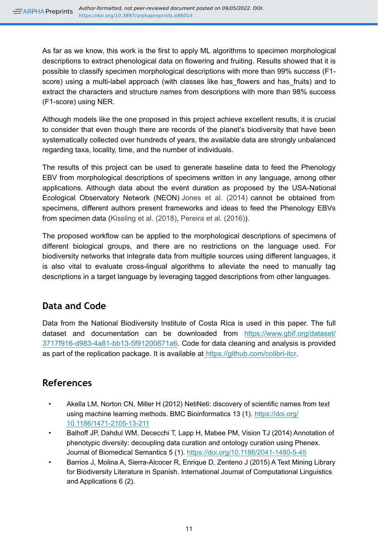As far as we know, this work is the first to apply ML algorithms to specimen morphological descriptions to extract phenological data on flowering and fruiting. Results showed that it is possible to classify specimen morphological descriptions with more than 99% success (F1 score) using a multi-label approach (with classes like has flowers and has fruits) and to extract the characters and structure names from descriptions with more than 98% success (F1-score) using NER.

Although models like the one proposed in this project achieve excellent results, it is crucial to consider that even though there are records of the planet's biodiversity that have been systematically collected over hundreds of years, the available data are strongly unbalanced regarding taxa, locality, time, and the number of individuals.

The results of this project can be used to generate baseline data to feed the Phenology EBV from morphological descriptions of specimens written in any language, among other applications. Although data about the event duration as proposed by the USA-National Ecological Observatory Network (NEON) [Jones et al. \(2014\)](#page-13-12) cannot be obtained from specimens, different authors present frameworks and ideas to feed the Phenology EBVs from specimen data ([Kissling et al. \(2018\),](#page-13-0) [Pereira et al. \(2016\)](#page-14-2)).

The proposed workflow can be applied to the morphological descriptions of specimens of different biological groups, and there are no restrictions on the language used. For biodiversity networks that integrate data from multiple sources using different languages, it is also vital to evaluate cross-lingual algorithms to alleviate the need to manually tag descriptions in a target language by leveraging tagged descriptions from other languages.

# **Data and Code**

Data from the National Biodiversity Institute of Costa Rica is used in this paper. The full dataset and documentation can be downloaded from [https://www.gbif.org/dataset/](https://www.gbif.org/dataset/3717f916-d983-4a81-bb13-5f91200871a6) [3717f916-d983-4a81-bb13-5f91200871a6.](https://www.gbif.org/dataset/3717f916-d983-4a81-bb13-5f91200871a6) Code for data cleaning and analysis is provided as part of the replication package. It is available at [https://github.com/colibri-itcr.](http://github.com/colibri-itcr)

# **References**

- <span id="page-11-0"></span>• Akella LM, Norton CN, Miller H (2012) NetiNeti: discovery of scientific names from text using machine learning methods. BMC Bioinformatics 13 (1). [https://doi.org/](https://doi.org/10.1186/1471-2105-13-211) [10.1186/1471-2105-13-211](https://doi.org/10.1186/1471-2105-13-211)
- <span id="page-11-1"></span>• Balhoff JP, Dahdul WM, Dececchi T, Lapp H, Mabee PM, Vision TJ (2014) Annotation of phenotypic diversity: decoupling data curation and ontology curation using Phenex. Journal of Biomedical Semantics 5 (1).<https://doi.org/10.1186/2041-1480-5-45>
- <span id="page-11-2"></span>• Barrios J, Molina A, Sierra-Alcocer R, Enrique D, Zenteno J (2015) A Text Mining Library for Biodiversity Literature in Spanish. International Journal of Computational Linguistics and Applications 6 (2).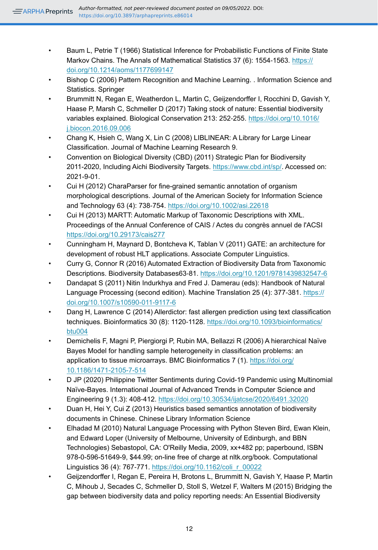- <span id="page-12-14"></span>• Baum L, Petrie T (1966) Statistical Inference for Probabilistic Functions of Finite State Markov Chains. The Annals of Mathematical Statistics 37 (6): 1554-1563. [https://](https://doi.org/10.1214/aoms/1177699147) [doi.org/10.1214/aoms/1177699147](https://doi.org/10.1214/aoms/1177699147)
- <span id="page-12-13"></span>• Bishop C (2006) Pattern Recognition and Machine Learning. . Information Science and Statistics. Springer
- <span id="page-12-1"></span>• Brummitt N, Regan E, Weatherdon L, Martin C, Geijzendorffer I, Rocchini D, Gavish Y, Haase P, Marsh C, Schmeller D (2017) Taking stock of nature: Essential biodiversity variables explained. Biological Conservation 213: 252-255. [https://doi.org/10.1016/](https://doi.org/10.1016/j.biocon.2016.09.006) [j.biocon.2016.09.006](https://doi.org/10.1016/j.biocon.2016.09.006)
- <span id="page-12-12"></span>• Chang K, Hsieh C, Wang X, Lin C (2008) LIBLINEAR: A Library for Large Linear Classification. Journal of Machine Learning Research 9.
- <span id="page-12-0"></span>• Convention on Biological Diversity (CBD) (2011) Strategic Plan for Biodiversity 2011-2020, Including Aichi Biodiversity Targets.<https://www.cbd.int/sp/>. Accessed on: 2021-9-01.
- <span id="page-12-6"></span>• Cui H (2012) CharaParser for fine-grained semantic annotation of organism morphological descriptions. Journal of the American Society for Information Science and Technology 63 (4): 738‑754. <https://doi.org/10.1002/asi.22618>
- <span id="page-12-7"></span>• Cui H (2013) MARTT: Automatic Markup of Taxonomic Descriptions with XML. Proceedings of the Annual Conference of CAIS / Actes du congrès annuel de l'ACSI <https://doi.org/10.29173/cais277>
- <span id="page-12-3"></span>• Cunningham H, Maynard D, Bontcheva K, Tablan V (2011) GATE: an architecture for development of robust HLT applications. Associate Computer Linguistics.
- <span id="page-12-4"></span>• Curry G, Connor R (2016) Automated Extraction of Biodiversity Data from Taxonomic Descriptions. Biodiversity Databases63‑81. <https://doi.org/10.1201/9781439832547-6>
- <span id="page-12-15"></span>• Dandapat S (2011) Nitin Indurkhya and Fred J. Damerau (eds): Handbook of Natural Language Processing (second edition). Machine Translation 25 (4): 377-381. [https://](https://doi.org/10.1007/s10590-011-9117-6) [doi.org/10.1007/s10590-011-9117-6](https://doi.org/10.1007/s10590-011-9117-6)
- <span id="page-12-8"></span>• Dang H, Lawrence C (2014) Allerdictor: fast allergen prediction using text classification techniques. Bioinformatics 30 (8): 1120‑1128. [https://doi.org/10.1093/bioinformatics/](https://doi.org/10.1093/bioinformatics/btu004) [btu004](https://doi.org/10.1093/bioinformatics/btu004)
- <span id="page-12-10"></span>• Demichelis F, Magni P, Piergiorgi P, Rubin MA, Bellazzi R (2006) A hierarchical Naïve Bayes Model for handling sample heterogeneity in classification problems: an application to tissue microarrays. BMC Bioinformatics 7 (1). [https://doi.org/](https://doi.org/10.1186/1471-2105-7-514) [10.1186/1471-2105-7-514](https://doi.org/10.1186/1471-2105-7-514)
- <span id="page-12-9"></span>• D JP (2020) Philippine Twitter Sentiments during Covid-19 Pandemic using Multinomial Naïve-Bayes. International Journal of Advanced Trends in Computer Science and Engineering 9 (1.3): 408‑412. <https://doi.org/10.30534/ijatcse/2020/6491.32020>
- <span id="page-12-5"></span>• Duan H, Hei Y, Cui Z (2013) Heuristics based semantics annotation of biodiversity documents in Chinese. Chinese Library Information Science
- <span id="page-12-11"></span>• Elhadad M (2010) Natural Language Processing with Python Steven Bird, Ewan Klein, and Edward Loper (University of Melbourne, University of Edinburgh, and BBN Technologies) Sebastopol, CA: O'Reilly Media, 2009, xx+482 pp; paperbound, ISBN 978-0-596-51649-9, \$44.99; on-line free of charge at nltk.org/book. Computational Linguistics 36 (4): 767‑771. [https://doi.org/10.1162/coli\\_r\\_00022](https://doi.org/10.1162/coli_r_00022)
- <span id="page-12-2"></span>• Geijzendorffer I, Regan E, Pereira H, Brotons L, Brummitt N, Gavish Y, Haase P, Martin C, Mihoub J, Secades C, Schmeller D, Stoll S, Wetzel F, Walters M (2015) Bridging the gap between biodiversity data and policy reporting needs: An Essential Biodiversity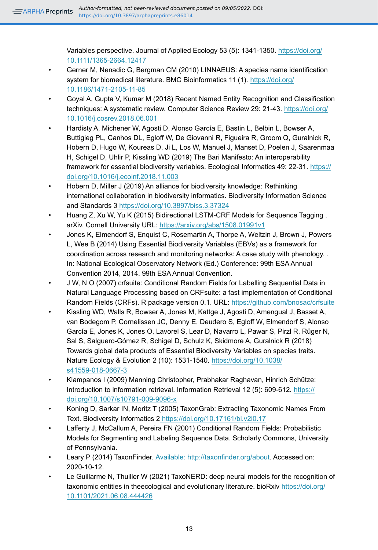Variables perspective. Journal of Applied Ecology 53 (5): 1341-1350. [https://doi.org/](https://doi.org/10.1111/1365-2664.12417) [10.1111/1365-2664.12417](https://doi.org/10.1111/1365-2664.12417)

- <span id="page-13-3"></span>• Gerner M, Nenadic G, Bergman CM (2010) LINNAEUS: A species name identification system for biomedical literature. BMC Bioinformatics 11 (1). [https://doi.org/](https://doi.org/10.1186/1471-2105-11-85) [10.1186/1471-2105-11-85](https://doi.org/10.1186/1471-2105-11-85)
- <span id="page-13-7"></span>• Goyal A, Gupta V, Kumar M (2018) Recent Named Entity Recognition and Classification techniques: A systematic review. Computer Science Review 29: 21‑43. [https://doi.org/](https://doi.org/10.1016/j.cosrev.2018.06.001) [10.1016/j.cosrev.2018.06.001](https://doi.org/10.1016/j.cosrev.2018.06.001)
- <span id="page-13-1"></span>• Hardisty A, Michener W, Agosti D, Alonso García E, Bastin L, Belbin L, Bowser A, Buttigieg PL, Canhos DL, Egloff W, De Giovanni R, Figueira R, Groom Q, Guralnick R, Hobern D, Hugo W, Koureas D, Ji L, Los W, Manuel J, Manset D, Poelen J, Saarenmaa H, Schigel D, Uhlir P, Kissling WD (2019) The Bari Manifesto: An interoperability framework for essential biodiversity variables. Ecological Informatics 49: 22-31. [https://](https://doi.org/10.1016/j.ecoinf.2018.11.003) [doi.org/10.1016/j.ecoinf.2018.11.003](https://doi.org/10.1016/j.ecoinf.2018.11.003)
- <span id="page-13-2"></span>• Hobern D, Miller J (2019) An alliance for biodiversity knowledge: Rethinking international collaboration in biodiversity informatics. Biodiversity Information Science and Standards [3 https://doi.org/10.3897/biss.3.37324](https://doi.org/10.3897/biss.3.37324)
- <span id="page-13-11"></span>• Huang Z, Xu W, Yu K (2015) Bidirectional LSTM-CRF Models for Sequence Tagging . arXiv. Cornell University URL:<https://arxiv.org/abs/1508.01991v1>
- <span id="page-13-12"></span>• Jones K, Elmendorf S, Enquist C, Rosemartin A, Thorpe A, Weltzin J, Brown J, Powers L, Wee B (2014) Using Essential Biodiversity Variables (EBVs) as a framework for coordination across research and monitoring networks: A case study with phenology. . In: National Ecological Observatory Network (Ed.) Conference: 99th ESA Annual Convention 2014, 2014. 99th ESA Annual Convention.
- <span id="page-13-9"></span>• J W, N O (2007) crfsuite: Conditional Random Fields for Labelling Sequential Data in Natural Language Processing based on CRFsuite: a fast implementation of Conditional Random Fields (CRFs). R package version 0.1. URL:<https://github.com/bnosac/crfsuite>
- <span id="page-13-0"></span>• Kissling WD, Walls R, Bowser A, Jones M, Kattge J, Agosti D, Amengual J, Basset A, van Bodegom P, Cornelissen JC, Denny E, Deudero S, Egloff W, Elmendorf S, Alonso García E, Jones K, Jones O, Lavorel S, Lear D, Navarro L, Pawar S, Pirzl R, Rüger N, Sal S, Salguero-Gómez R, Schigel D, Schulz K, Skidmore A, Guralnick R (2018) Towards global data products of Essential Biodiversity Variables on species traits. Nature Ecology & Evolution 2 (10): 1531‑1540. [https://doi.org/10.1038/](https://doi.org/10.1038/s41559-018-0667-3) [s41559-018-0667-3](https://doi.org/10.1038/s41559-018-0667-3)
- <span id="page-13-8"></span>• Klampanos I (2009) Manning Christopher, Prabhakar Raghavan, Hinrich Schütze: Introduction to information retrieval. Information Retrieval 12 (5): 609‑612. [https://](https://doi.org/10.1007/s10791-009-9096-x) [doi.org/10.1007/s10791-009-9096-x](https://doi.org/10.1007/s10791-009-9096-x)
- <span id="page-13-5"></span>• Koning D, Sarkar IN, Moritz T (2005) TaxonGrab: Extracting Taxonomic Names From Text. Biodiversity Informatics 2<https://doi.org/10.17161/bi.v2i0.17>
- <span id="page-13-10"></span>• Lafferty J, McCallum A, Pereira FN (2001) Conditional Random Fields: Probabilistic Models for Segmenting and Labeling Sequence Data. Scholarly Commons, University of Pennsylvania.
- <span id="page-13-4"></span>• Leary P (2014) TaxonFinder. [Available: http://taxonfinder.org/about](http://Available:%20http://taxonfinder.org/about). Accessed on: 2020-10-12.
- <span id="page-13-6"></span>• Le Guillarme N, Thuiller W (2021) TaxoNERD: deep neural models for the recognition of taxonomic entities in theecological and evolutionary literature. bioRxiv [https://doi.org/](https://doi.org/10.1101/2021.06.08.444426) [10.1101/2021.06.08.444426](https://doi.org/10.1101/2021.06.08.444426)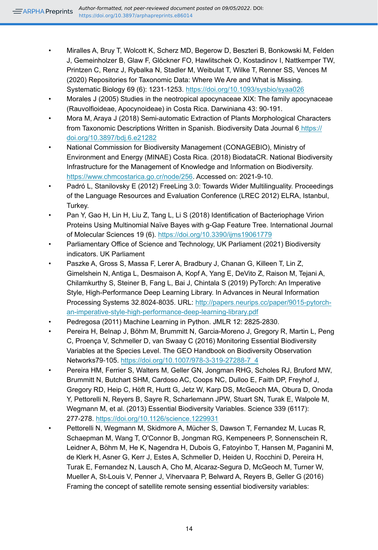- <span id="page-14-4"></span>• Miralles A, Bruy T, Wolcott K, Scherz MD, Begerow D, Beszteri B, Bonkowski M, Felden J, Gemeinholzer B, Glaw F, Glöckner FO, Hawlitschek O, Kostadinov I, Nattkemper TW, Printzen C, Renz J, Rybalka N, Stadler M, Weibulat T, Wilke T, Renner SS, Vences M (2020) Repositories for Taxonomic Data: Where We Are and What is Missing. Systematic Biology 69 (6): 1231‑1253. <https://doi.org/10.1093/sysbio/syaa026>
- <span id="page-14-10"></span>• Morales J (2005) Studies in the neotropical apocynaceae XIX: The family apocynaceae (Rauvolfioideae, Apocynoideae) in Costa Rica. Darwiniana 43: 90‑191.
- <span id="page-14-5"></span>• Mora M, Araya J (2018) Semi-automatic Extraction of Plants Morphological Characters from Taxonomic Descriptions Written in Spanish. Biodiversity Data Journal 6 [https://](https://doi.org/10.3897/bdj.6.e21282) [doi.org/10.3897/bdj.6.e21282](https://doi.org/10.3897/bdj.6.e21282)
- <span id="page-14-11"></span>• National Commission for Biodiversity Management (CONAGEBIO), Ministry of Environment and Energy (MINAE) Costa Rica. (2018) BiodataCR. National Biodiversity Infrastructure for the Management of Knowledge and Information on Biodiversity. <https://www.chmcostarica.go.cr/node/256>. Accessed on: 2021-9-10.
- <span id="page-14-7"></span>• Padró L, Stanilovsky E (2012) FreeLing 3.0: Towards Wider Multilinguality. Proceedings of the Language Resources and Evaluation Conference (LREC 2012) ELRA, Istanbul, Turkey.
- <span id="page-14-6"></span>• Pan Y, Gao H, Lin H, Liu Z, Tang L, Li S (2018) Identification of Bacteriophage Virion Proteins Using Multinomial Naïve Bayes with g-Gap Feature Tree. International Journal of Molecular Sciences 19 (6). <https://doi.org/10.3390/ijms19061779>
- <span id="page-14-3"></span>• Parliamentary Office of Science and Technology, UK Parliament (2021) Biodiversity indicators. UK Parliament
- <span id="page-14-9"></span>• Paszke A, Gross S, Massa F, Lerer A, Bradbury J, Chanan G, Killeen T, Lin Z, Gimelshein N, Antiga L, Desmaison A, Kopf A, Yang E, DeVito Z, Raison M, Tejani A, Chilamkurthy S, Steiner B, Fang L, Bai J, Chintala S (2019) PyTorch: An Imperative Style, High-Performance Deep Learning Library. In Advances in Neural Information Processing Systems 32.8024‑8035. URL: [http://papers.neurips.cc/paper/9015-pytorch](http://papers.neurips.cc/paper/9015-pytorch-an-imperative-style-high-performance-deep-learning-library.pdf)[an-imperative-style-high-performance-deep-learning-library.pdf](http://papers.neurips.cc/paper/9015-pytorch-an-imperative-style-high-performance-deep-learning-library.pdf)
- <span id="page-14-8"></span>• Pedregosa (2011) Machine Learning in Python. JMLR 12: 2825‑2830.
- <span id="page-14-2"></span>• Pereira H, Belnap J, Böhm M, Brummitt N, Garcia-Moreno J, Gregory R, Martin L, Peng C, Proença V, Schmeller D, van Swaay C (2016) Monitoring Essential Biodiversity Variables at the Species Level. The GEO Handbook on Biodiversity Observation Networks79‑105. [https://doi.org/10.1007/978-3-319-27288-7\\_4](https://doi.org/10.1007/978-3-319-27288-7_4)
- <span id="page-14-0"></span>• Pereira HM, Ferrier S, Walters M, Geller GN, Jongman RHG, Scholes RJ, Bruford MW, Brummitt N, Butchart SHM, Cardoso AC, Coops NC, Dulloo E, Faith DP, Freyhof J, Gregory RD, Heip C, Höft R, Hurtt G, Jetz W, Karp DS, McGeoch MA, Obura D, Onoda Y, Pettorelli N, Reyers B, Sayre R, Scharlemann JPW, Stuart SN, Turak E, Walpole M, Wegmann M, et al. (2013) Essential Biodiversity Variables. Science 339 (6117): 277‑278. <https://doi.org/10.1126/science.1229931>
- <span id="page-14-1"></span>• Pettorelli N, Wegmann M, Skidmore A, Mücher S, Dawson T, Fernandez M, Lucas R, Schaepman M, Wang T, O'Connor B, Jongman RG, Kempeneers P, Sonnenschein R, Leidner A, Böhm M, He K, Nagendra H, Dubois G, Fatoyinbo T, Hansen M, Paganini M, de Klerk H, Asner G, Kerr J, Estes A, Schmeller D, Heiden U, Rocchini D, Pereira H, Turak E, Fernandez N, Lausch A, Cho M, Alcaraz-Segura D, McGeoch M, Turner W, Mueller A, St-Louis V, Penner J, Vihervaara P, Belward A, Reyers B, Geller G (2016) Framing the concept of satellite remote sensing essential biodiversity variables: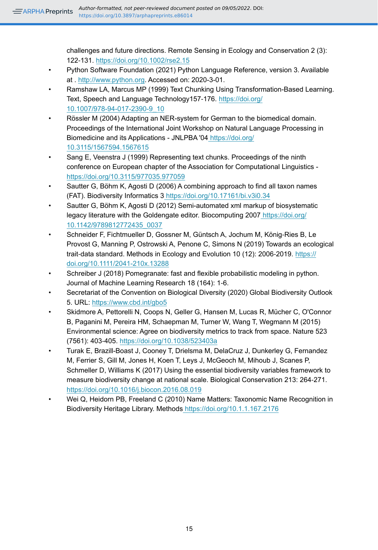challenges and future directions. Remote Sensing in Ecology and Conservation 2 (3): 122‑131. <https://doi.org/10.1002/rse2.15>

- <span id="page-15-10"></span>• Python Software Foundation (2021) Python Language Reference, version 3. Available at . [http://www.python.org.](http://www.python.org) Accessed on: 2020-3-01.
- <span id="page-15-8"></span>• Ramshaw LA, Marcus MP (1999) Text Chunking Using Transformation-Based Learning. Text, Speech and Language Technology157‑176. [https://doi.org/](https://doi.org/10.1007/978-94-017-2390-9_10) [10.1007/978-94-017-2390-9\\_10](https://doi.org/10.1007/978-94-017-2390-9_10)
- <span id="page-15-7"></span>• Rössler M (2004) Adapting an NER-system for German to the biomedical domain. Proceedings of the International Joint Workshop on Natural Language Processing in Biomedicine and its Applications - JNLPBA '04 [https://doi.org/](https://doi.org/10.3115/1567594.1567615) [10.3115/1567594.1567615](https://doi.org/10.3115/1567594.1567615)
- <span id="page-15-9"></span>Sang E, Veenstra J (1999) Representing text chunks. Proceedings of the ninth conference on European chapter of the Association for Computational Linguistics <https://doi.org/10.3115/977035.977059>
- <span id="page-15-5"></span>• Sautter G, Böhm K, Agosti D (2006) A combining approach to find all taxon names (FAT). Biodiversity Informatics 3<https://doi.org/10.17161/bi.v3i0.34>
- <span id="page-15-6"></span>• Sautter G, Böhm K, Agosti D (2012) Semi-automated xml markup of biosystematic legacy literature with the Goldengate editor. Biocomputing 200[7 https://doi.org/](https://doi.org/10.1142/9789812772435_0037) [10.1142/9789812772435\\_0037](https://doi.org/10.1142/9789812772435_0037)
- <span id="page-15-3"></span>• Schneider F, Fichtmueller D, Gossner M, Güntsch A, Jochum M, König‐Ries B, Le Provost G, Manning P, Ostrowski A, Penone C, Simons N (2019) Towards an ecological trait‐data standard. Methods in Ecology and Evolution 10 (12): 2006‑2019. [https://](https://doi.org/10.1111/2041-210x.13288) [doi.org/10.1111/2041-210x.13288](https://doi.org/10.1111/2041-210x.13288)
- <span id="page-15-11"></span>Schreiber J (2018) Pomegranate: fast and flexible probabilistic modeling in python. Journal of Machine Learning Research 18 (164): 1‑6.
- <span id="page-15-0"></span>• Secretariat of the Convention on Biological Diversity (2020) Global Biodiversity Outlook 5. URL: <https://www.cbd.int/gbo5>
- <span id="page-15-2"></span>• Skidmore A, Pettorelli N, Coops N, Geller G, Hansen M, Lucas R, Mücher C, O'Connor B, Paganini M, Pereira HM, Schaepman M, Turner W, Wang T, Wegmann M (2015) Environmental science: Agree on biodiversity metrics to track from space. Nature 523 (7561): 403‑405. <https://doi.org/10.1038/523403a>
- <span id="page-15-1"></span>• Turak E, Brazill-Boast J, Cooney T, Drielsma M, DelaCruz J, Dunkerley G, Fernandez M, Ferrier S, Gill M, Jones H, Koen T, Leys J, McGeoch M, Mihoub J, Scanes P, Schmeller D, Williams K (2017) Using the essential biodiversity variables framework to measure biodiversity change at national scale. Biological Conservation 213: 264‑271. <https://doi.org/10.1016/j.biocon.2016.08.019>
- <span id="page-15-4"></span>• Wei Q, Heidorn PB, Freeland C (2010) Name Matters: Taxonomic Name Recognition in Biodiversity Heritage Library. Method[s https://doi.org/10.1.1.167.2176](https://doi.org/10.1.1.167.2176)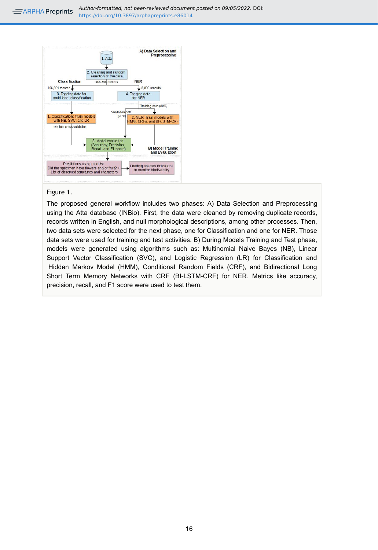*Author-formatted, not peer-reviewed document posted on 09/05/2022*. DOI:  $\equiv$  ARPHA Preprints https://doi.org/10.3897/arphapreprints.e86014

<span id="page-16-0"></span>

#### Figure 1.

The proposed general workflow includes two phases: A) Data Selection and Preprocessing using the Atta database (INBio). First, the data were cleaned by removing duplicate records, records written in English, and null morphological descriptions, among other processes. Then, two data sets were selected for the next phase, one for Classification and one for NER. Those data sets were used for training and test activities. B) During Models Training and Test phase, models were generated using algorithms such as: Multinomial Naive Bayes (NB), Linear Support Vector Classification (SVC), and Logistic Regression (LR) for Classification and Hidden Markov Model (HMM), Conditional Random Fields (CRF), and Bidirectional Long Short Term Memory Networks with CRF (BI-LSTM-CRF) for NER. Metrics like accuracy, precision, recall, and F1 score were used to test them.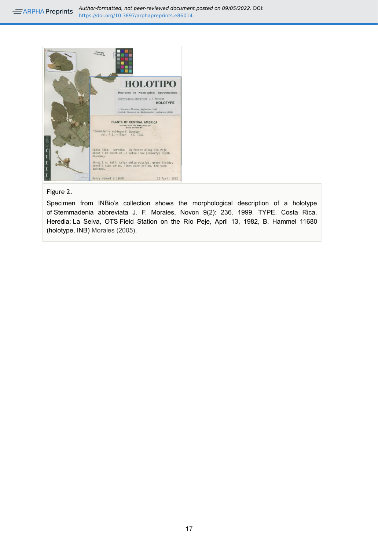*Author-formatted, not peer-reviewed document posted on 09/05/2022*. DOI:  $\equiv$  ARPHA Preprints https://doi.org/10.3897/arphapreprints.e86014

<span id="page-17-0"></span>

## Figure 2.

Specimen from INBio's collection shows the morphological description of a holotype of Stemmadenia abbreviata J. F. Morales, Novon 9(2): 236. 1999. TYPE. Costa Rica. Heredia: La Selva, OTS Field Station on the Río Peje, April 13, 1982, B. Hammel 11680 (holotype, INB) [Morales \(2005\)](#page-14-10).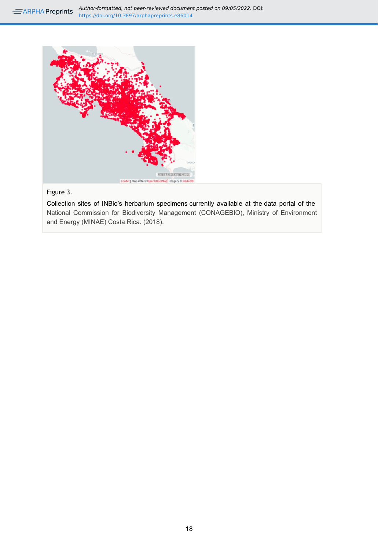*Author-formatted, not peer-reviewed document posted on 09/05/2022*. DOI: https://doi.org/10.3897/arphapreprints.e86014

<span id="page-18-0"></span>

# Figure 3.

Collection sites of INBio's herbarium specimens currently available at the data portal of the [National Commission for Biodiversity Management \(CONAGEBIO\), Ministry of Environment](#page-14-11) [and Energy \(MINAE\) Costa Rica. \(2018\)](#page-14-11).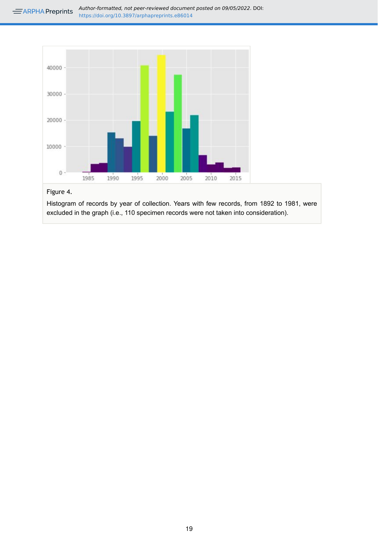<span id="page-19-0"></span>

## Figure 4.

Histogram of records by year of collection. Years with few records, from 1892 to 1981, were excluded in the graph (i.e., 110 specimen records were not taken into consideration).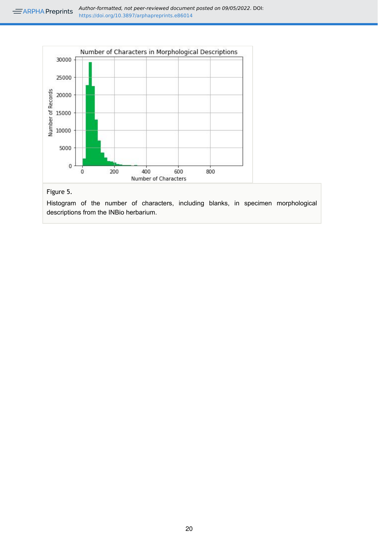<span id="page-20-0"></span>

## Figure 5.

Histogram of the number of characters, including blanks, in specimen morphological descriptions from the INBio herbarium.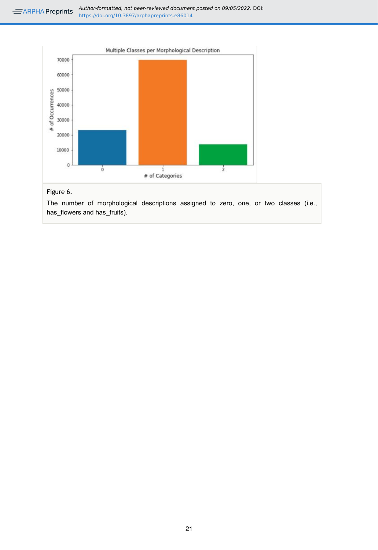<span id="page-21-0"></span>

## Figure 6.

The number of morphological descriptions assigned to zero, one, or two classes (i.e., has\_flowers and has\_fruits).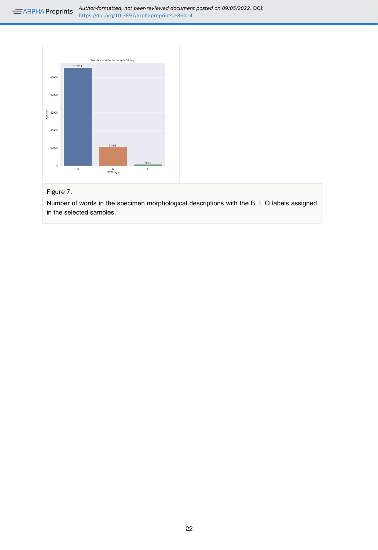<span id="page-22-0"></span>

## Figure 7.

Number of words in the specimen morphological descriptions with the B, I, O labels assigned in the selected samples.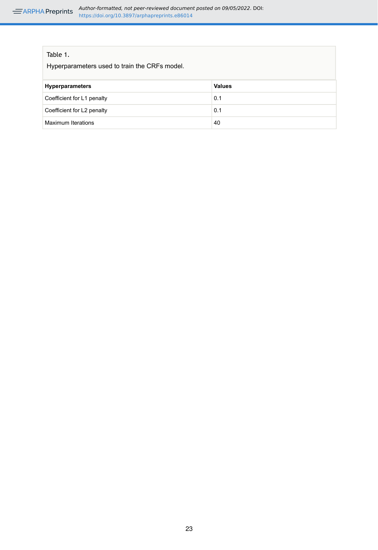<span id="page-23-0"></span>

| <b>Values</b> |
|---------------|
| 0.1           |
| 0.1           |
| 40            |
|               |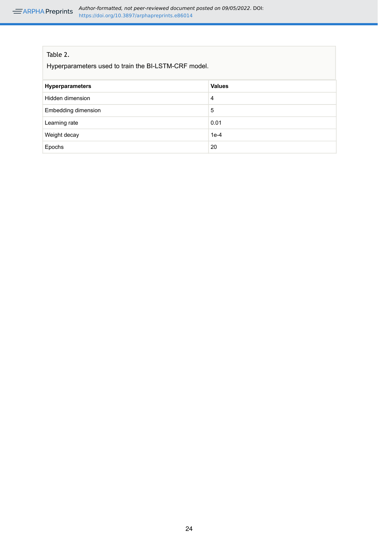## <span id="page-24-0"></span>Table 2.

Hyperparameters used to train the BI-LSTM-CRF model.

| <b>Hyperparameters</b>     | <b>Values</b> |
|----------------------------|---------------|
| Hidden dimension           | 4             |
| <b>Embedding dimension</b> | 5             |
| Learning rate              | 0.01          |
| Weight decay               | $1e-4$        |
| Epochs                     | 20            |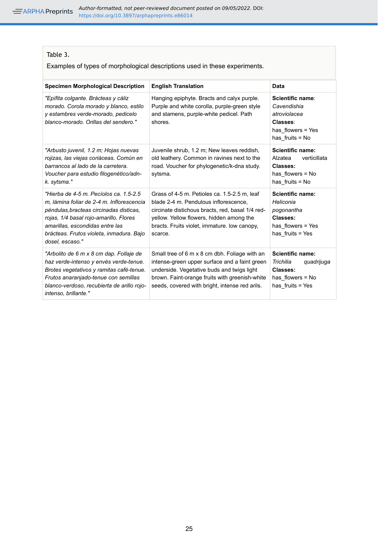## <span id="page-25-0"></span>Table 3.

Examples of types of morphological descriptions used in these experiments.

| <b>Specimen Morphological Description</b>                                                                                                                                                                                                                                  | <b>English Translation</b>                                                                                                                                                                                                                       | Data                                                                                                  |
|----------------------------------------------------------------------------------------------------------------------------------------------------------------------------------------------------------------------------------------------------------------------------|--------------------------------------------------------------------------------------------------------------------------------------------------------------------------------------------------------------------------------------------------|-------------------------------------------------------------------------------------------------------|
| "Epífita colgante. Brácteas y cáliz<br>morado. Corola morado y blanco, estilo<br>y estambres verde-morado, pedicelo<br>blanco-morado. Orillas del sendero."                                                                                                                | Hanging epiphyte. Bracts and calyx purple.<br>Purple and white corolla, purple-green style<br>and stamens, purple-white pedicel. Path<br>shores.                                                                                                 | Scientific name:<br>Cavendishia<br>atroviolacea<br>Classes:<br>has flowers = Yes<br>has fruits = $No$ |
| "Arbusto juvenil, 1.2 m; Hojas nuevas<br>rojizas, las viejas coriáceas. Común en<br>barrancos al lado de la carretera.<br>Voucher para estudio filogenético/adn-<br>k. sytsma."                                                                                            | Juvenile shrub, 1.2 m; New leaves reddish,<br>old leathery. Common in ravines next to the<br>road. Voucher for phylogenetic/k-dna study.<br>sytsma.                                                                                              | Scientific name:<br>Alzatea<br>verticillata<br>Classes:<br>has flowers $=$ No<br>has fruits = $No$    |
| "Hierba de 4-5 m. Pecíolos ca. 1.5-2.5<br>m. lámina foliar de 2-4 m. Inflorescencia<br>péndulas, bracteas circinadas disticas,<br>rojas, 1/4 basal rojo-amarillo. Flores<br>amarillas, escondidas entre las<br>brácteas. Frutos violeta, inmadura. Bajo<br>dosel, escaso." | Grass of 4-5 m. Petioles ca. 1.5-2.5 m. leaf<br>blade 2-4 m. Pendulous inflorescence.<br>circinate distichous bracts, red, basal 1/4 red-<br>yellow. Yellow flowers, hidden among the<br>bracts. Fruits violet, immature. low canopy,<br>scarce. | Scientific name:<br>Heliconia<br>pogonantha<br>Classes:<br>has flowers = Yes<br>has fruits = Yes      |
| "Arbolito de 6 m x 8 cm dap. Follaje de<br>haz verde-intenso y envés verde-tenue.<br>Brotes vegetativos y ramitas café-tenue.<br>Frutos anaranjado-tenue con semillas<br>blanco-verdoso, recubierta de arillo rojo-<br>intenso, brillante."                                | Small tree of 6 m x 8 cm dbh. Foliage with an<br>intense-green upper surface and a faint green<br>underside. Vegetative buds and twigs light<br>brown. Faint-orange fruits with greenish-white<br>seeds, covered with bright, intense red arils. | Scientific name:<br>Trichilia<br>quadrijuqa<br>Classes:<br>has flowers = No<br>has fruits = Yes       |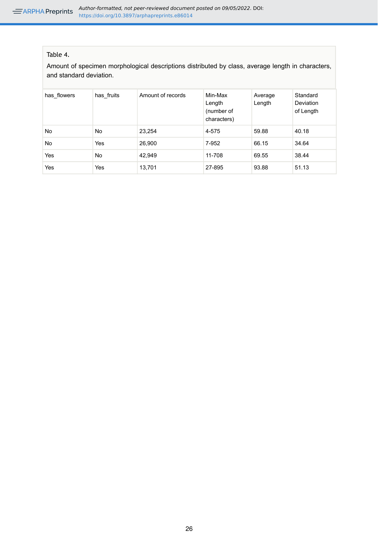## <span id="page-26-0"></span>Table 4.

Amount of specimen morphological descriptions distributed by class, average length in characters, and standard deviation.

| has flowers | has fruits | Amount of records | Min-Max<br>Length<br>(number of<br>characters) | Average<br>Length | Standard<br><b>Deviation</b><br>of Length |
|-------------|------------|-------------------|------------------------------------------------|-------------------|-------------------------------------------|
| <b>No</b>   | <b>No</b>  | 23.254            | 4-575                                          | 59.88             | 40.18                                     |
| <b>No</b>   | Yes        | 26,900            | 7-952                                          | 66.15             | 34.64                                     |
| Yes         | <b>No</b>  | 42.949            | 11-708                                         | 69.55             | 38.44                                     |
| Yes         | Yes        | 13.701            | 27-895                                         | 93.88             | 51.13                                     |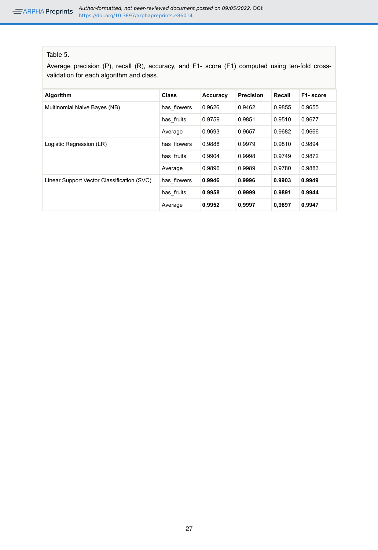## <span id="page-27-0"></span>Table 5.

Average precision (P), recall (R), accuracy, and F1- score (F1) computed using ten-fold crossvalidation for each algorithm and class.

| Algorithm                                  | <b>Class</b> | Accuracy | Precision | Recall | F1-score |
|--------------------------------------------|--------------|----------|-----------|--------|----------|
| Multinomial Naive Bayes (NB)               | has flowers  | 0.9626   | 0.9462    | 0.9855 | 0.9655   |
|                                            | has fruits   | 0.9759   | 0.9851    | 0.9510 | 0.9677   |
|                                            | Average      | 0.9693   | 0.9657    | 0.9682 | 0.9666   |
| Logistic Regression (LR)                   | has flowers  | 0.9888   | 0.9979    | 0.9810 | 0.9894   |
|                                            | has fruits   | 0.9904   | 0.9998    | 0.9749 | 0.9872   |
|                                            | Average      | 0.9896   | 0.9989    | 0.9780 | 0.9883   |
| Linear Support Vector Classification (SVC) | has flowers  | 0.9946   | 0.9996    | 0.9903 | 0.9949   |
|                                            | has fruits   | 0.9958   | 0.9999    | 0.9891 | 0.9944   |
|                                            | Average      | 0,9952   | 0,9997    | 0,9897 | 0,9947   |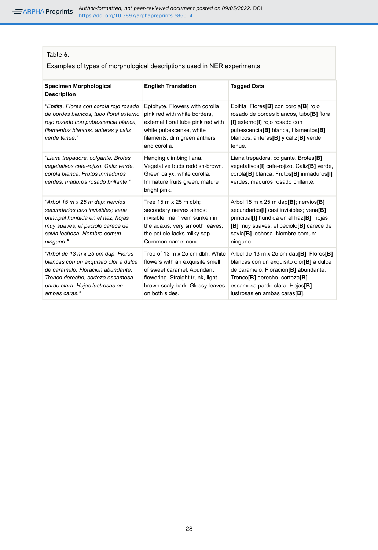### <span id="page-28-0"></span>Table 6.

Examples of types of morphological descriptions used in NER experiments.

| Specimen Morphological<br><b>Description</b>                                                                                                                                                             | <b>English Translation</b>                                                                                                                                                                | <b>Tagged Data</b>                                                                                                                                                                                                                                                  |
|----------------------------------------------------------------------------------------------------------------------------------------------------------------------------------------------------------|-------------------------------------------------------------------------------------------------------------------------------------------------------------------------------------------|---------------------------------------------------------------------------------------------------------------------------------------------------------------------------------------------------------------------------------------------------------------------|
| "Epifita. Flores con corola rojo rosado<br>de bordes blancos, tubo floral externo<br>rojo rosado con pubescencia blanca,<br>filamentos blancos, anteras y caliz<br>verde tenue."                         | Epiphyte. Flowers with corolla<br>pink red with white borders,<br>external floral tube pink red with<br>white pubescense, white<br>filaments, dim green anthers<br>and corolla.           | Epifita. Flores <sup>[B]</sup> con corola <sup>[B]</sup> rojo<br>rosado de bordes blancos, tubo[B] floral<br>[I] externo[I] rojo rosado con<br>pubescencia <sup>[B]</sup> blanca, filamentos <sup>[B]</sup><br>blancos, anteras $[B]$ y caliz $[B]$ verde<br>tenue. |
| "Liana trepadora, colgante. Brotes<br>vegetativos cafe-rojizo. Caliz verde,<br>corola blanca. Frutos inmaduros<br>verdes, maduros rosado brillante."                                                     | Hanging climbing liana.<br>Vegetative buds reddish-brown.<br>Green calyx, white corolla.<br>Immature fruits green, mature<br>bright pink.                                                 | Liana trepadora, colgante. Brotes <sup>[B]</sup><br>vegetativos[I] cafe-rojizo. Caliz[B] verde,<br>corola <sup>[B]</sup> blanca. Frutos <sup>[B]</sup> inmaduros <sup>[1]</sup><br>verdes, maduros rosado brillante.                                                |
| "Arbol 15 m x 25 m dap; nervios<br>secundarios casi invisibles: vena<br>principal hundida en el haz; hojas<br>muy suaves; el peciolo carece de<br>savia lechosa. Nombre comun:<br>ninguno."              | Tree 15 m x 25 m dbh;<br>secondary nerves almost<br>invisible; main vein sunken in<br>the adaxis; very smooth leaves;<br>the petiole lacks milky sap.<br>Common name: none.               | Arbol 15 m x 25 m dap[B]; nervios[B]<br>secundarios[I] casi invisibles; vena[B]<br>principal[I] hundida en el haz[B]; hojas<br>[B] muy suaves; el peciolo[B] carece de<br>savia[B] lechosa. Nombre comun:<br>ninguno.                                               |
| "Arbol de 13 m x 25 cm dap. Flores<br>blancas con un exquisito olor a dulce<br>de caramelo. Floracion abundante.<br>Tronco derecho, corteza escamosa<br>pardo clara. Hojas lustrosas en<br>ambas caras." | Tree of 13 m x 25 cm dbh. White<br>flowers with an exquisite smell<br>of sweet caramel. Abundant<br>flowering. Straight trunk, light<br>brown scaly bark. Glossy leaves<br>on both sides. | Arbol de 13 m x 25 cm dap[B]. Flores[B]<br>blancas con un exquisito olor[B] a dulce<br>de caramelo. Floracion <sup>[B]</sup> abundante.<br>Tronco <sup>[B]</sup> derecho, corteza <sup>[B]</sup><br>escamosa pardo clara. Hojas[B]<br>lustrosas en ambas caras[B].  |